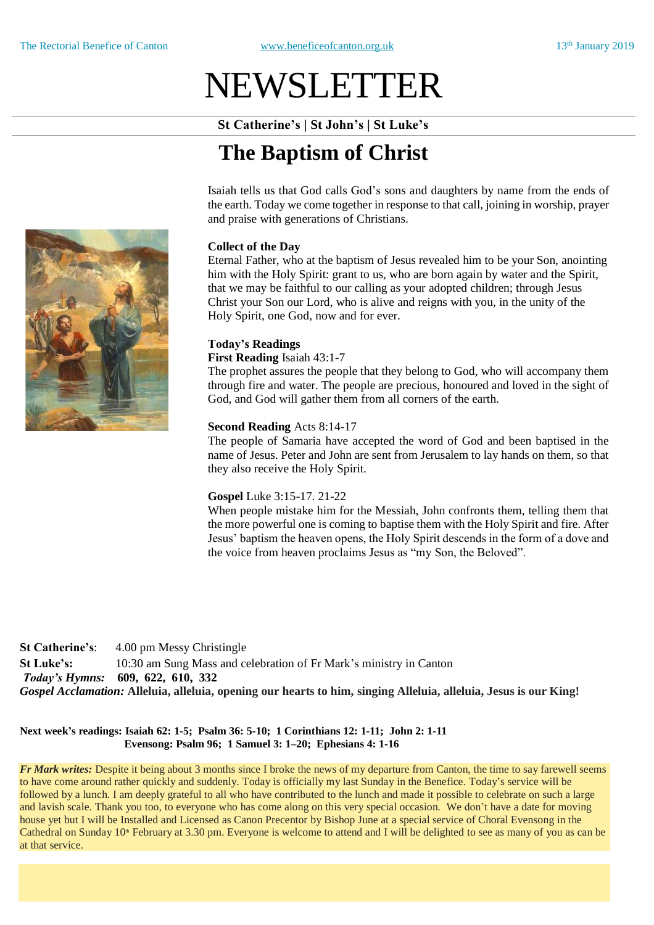# NEWSLETTER

**St Catherine's | St John's | St Luke's**

# **The Baptism of Christ**

Isaiah tells us that God calls God's sons and daughters by name from the ends of the earth. Today we come together in response to that call, joining in worship, prayer and praise with generations of Christians.

#### **Collect of the Day**

Eternal Father, who at the baptism of Jesus revealed him to be your Son, anointing him with the Holy Spirit: grant to us, who are born again by water and the Spirit, that we may be faithful to our calling as your adopted children; through Jesus Christ your Son our Lord, who is alive and reigns with you, in the unity of the Holy Spirit, one God, now and for ever.

#### **Today's Readings**

#### **First Reading** Isaiah 43:1-7

The prophet assures the people that they belong to God, who will accompany them through fire and water. The people are precious, honoured and loved in the sight of God, and God will gather them from all corners of the earth.

#### **Second Reading** Acts 8:14-17

The people of Samaria have accepted the word of God and been baptised in the name of Jesus. Peter and John are sent from Jerusalem to lay hands on them, so that they also receive the Holy Spirit.

#### **Gospel** Luke 3:15-17. 21-22

When people mistake him for the Messiah, John confronts them, telling them that the more powerful one is coming to baptise them with the Holy Spirit and fire. After Jesus' baptism the heaven opens, the Holy Spirit descends in the form of a dove and the voice from heaven proclaims Jesus as "my Son, the Beloved".

**St Catherine's**: 4.00 pm Messy Christingle **St Luke's:** 10:30 am Sung Mass and celebration of Fr Mark's ministry in Canton *Today's Hymns:* **609, 622, 610, 332** *Gospel Acclamation:* **Alleluia, alleluia, opening our hearts to him, singing Alleluia, alleluia, Jesus is our King!**

#### **Next week's readings: Isaiah 62: 1-5; Psalm 36: 5-10; 1 Corinthians 12: 1-11; John 2: 1-11 Evensong: Psalm 96; 1 Samuel 3: 1–20; Ephesians 4: 1-16**

*Fr Mark writes:* Despite it being about 3 months since I broke the news of my departure from Canton, the time to say farewell seems to have come around rather quickly and suddenly. Today is officially my last Sunday in the Benefice. Today's service will be followed by a lunch. I am deeply grateful to all who have contributed to the lunch and made it possible to celebrate on such a large and lavish scale. Thank you too, to everyone who has come along on this very special occasion. We don't have a date for moving house yet but I will be Installed and Licensed as Canon Precentor by Bishop June at a special service of Choral Evensong in the Cathedral on Sunday  $10<sup>th</sup>$  February at 3.30 pm. Everyone is welcome to attend and I will be delighted to see as many of you as can be at that service.